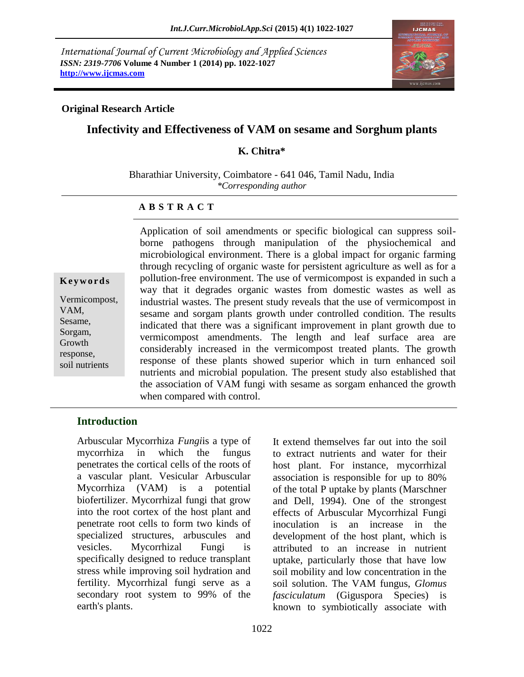*International Journal of Current Microbiology and Applied Sciences ISSN: 2319-7706* **Volume 4 Number 1 (2014) pp. 1022-1027 http://www.ijcmas.com**



# **Infectivity and Effectiveness of VAM on sesame and Sorghum plants**

### **K. Chitra\***

Bharathiar University, Coimbatore - 641 046, Tamil Nadu, India *\*Corresponding author* 

## **A B S T R A C T**

**K e y w o r d s** Vermicompost, VAM, Sesame, Sorgam, Growth response,

soil nutrients

Application of soil amendments or specific biological can suppress soilborne pathogens through manipulation of the physiochemical and microbiological environment. There is a global impact for organic farming through recycling of organic waste for persistent agriculture as well as for a pollution-free environment. The use of vermicompost is expanded in such a way that it degrades organic wastes from domestic wastes as well as industrial wastes. The present study reveals that the use of vermicompost in sesame and sorgam plants growth under controlled condition. The results indicated that there was a significant improvement in plant growth due to vermicompost amendments. The length and leaf surface area are considerably increased in the vermicompost treated plants. The growth response of these plants showed superior which in turn enhanced soil nutrients and microbial population. The present study also established that the association of VAM fungi with sesame as sorgam enhanced the growth when compared with control.

# **Introduction**

Arbuscular Mycorrhiza *Fungi*is a type of [mycorrhiza](http://en.wikipedia.org/wiki/Mycorrhiza) in which the [fungus](http://en.wikipedia.org/wiki/Fungus) penetrates the [cortical](http://en.wikipedia.org/wiki/Cortex_%28botany%29) cells of the roots of a [vascular plant.](http://en.wikipedia.org/wiki/Vascular_plant) Vesicular Arbuscular Mycorrhiza (VAM) is a potential biofertilizer. Mycorrhizal fungi that grow into the root cortex of the host plant and penetrate root cells to form two kinds of specialized structures, arbuscules and vesicles. Mycorrhizal Fungi is specifically designed to reduce transplant stress while improving soil hydration and fertility. Mycorrhizal fungi serve as a secondary root system to 99% of the earth's plants.

It extend themselves far out into the soil to extract nutrients and water for their host plant. For instance, mycorrhizal association is responsible for up to 80% of the total P uptake by plants (Marschner and Dell, 1994). One of the strongest effects of Arbuscular Mycorrhizal Fungi inoculation is an increase in the development of the host plant, which is attributed to an increase in nutrient uptake, particularly those that have low soil mobility and low concentration in the soil solution. The VAM fungus, *Glomus fasciculatum* (Giguspora Species) is known to symbiotically associate with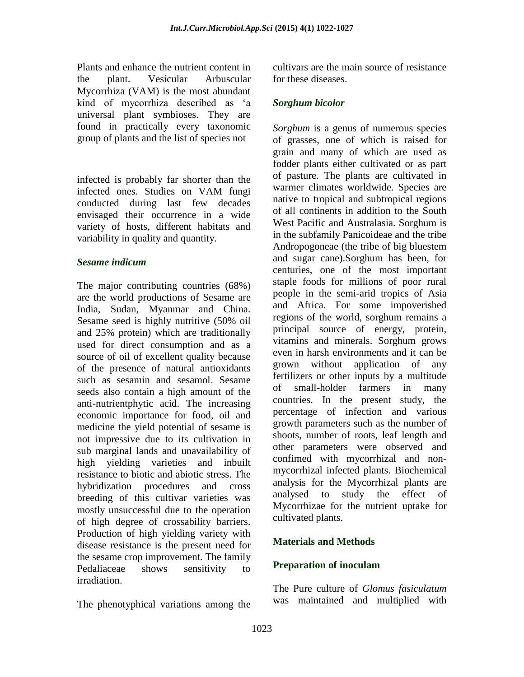Plants and enhance the nutrient content in the plant. Vesicular Arbuscular Mycorrhiza (VAM) is the most abundant kind of mycorrhiza described as 'a universal plant symbioses. They are found in practically every taxonomic group of plants and the list of species not

infected is probably far shorter than the infected ones. Studies on VAM fungi conducted during last few decades envisaged their occurrence in a wide variety of hosts, different habitats and variability in quality and quantity.

#### *Sesame indicum*

The major contributing countries (68%) are the world productions of Sesame are India, Sudan, Myanmar and China. Sesame seed is highly nutritive (50% oil and 25% protein) which are traditionally used for direct consumption and as a source of oil of excellent quality because of the presence of natural antioxidants such as sesamin and sesamol. Sesame seeds also contain a high amount of the [anti-nutrientphytic acid.](http://en.wikipedia.org/wiki/Anti-nutrient) The increasing economic importance for food, oil and medicine the yield potential of sesame is not impressive due to its cultivation in sub marginal lands and unavailability of high vielding varieties and inbuilt resistance to biotic and abiotic stress. The hybridization procedures and cross breeding of this cultivar varieties was mostly unsuccessful due to the operation of high degree of crossability barriers. Production of high yielding variety with disease resistance is the present need for the sesame crop improvement. The family Pedaliaceae shows sensitivity to irradiation.

The phenotyphical variations among the

cultivars are the main source of resistance for these diseases.

## *Sorghum bicolor*

*Sorghum* is a genus of numerous species of grasses, one of which is raised for grain and many of which are used as fodder plants either cultivated or as part of pasture. The plants are cultivated in warmer climates worldwide. Species are native to tropical and subtropical regions of all continents in addition to the South West Pacific and Australasia. Sorghum is in the subfamily Panicoideae and the tribe Andropogoneae (the tribe of big bluestem and sugar cane).Sorghum has been, for centuries, one of the most important staple foods for millions of poor rural people in the semi-arid tropics of Asia and Africa. For some impoverished regions of the world, sorghum remains a principal source of energy, protein, vitamins and minerals. Sorghum grows even in harsh environments and it can be grown without application of any fertilizers or other inputs by a multitude of small-holder farmers in many countries. In the present study, the percentage of infection and various growth parameters such as the number of shoots, number of roots, leaf length and other parameters were observed and confimed with mycorrhizal and nonmycorrhizal infected plants. Biochemical analysis for the Mycorrhizal plants are analysed to study the effect of Mycorrhizae for the nutrient uptake for cultivated plants.

# **Materials and Methods**

## **Preparation of inoculam**

The Pure culture of *Glomus fasiculatum* was maintained and multiplied with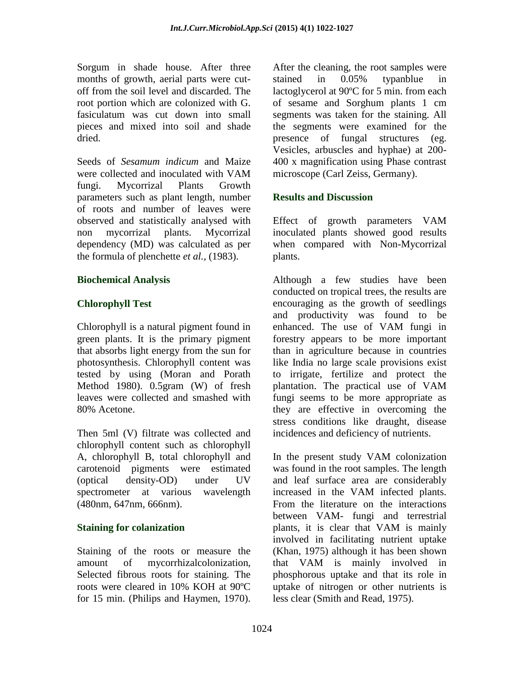Sorgum in shade house. After three months of growth, aerial parts were cutoff from the soil level and discarded. The root portion which are colonized with G. fasiculatum was cut down into small pieces and mixed into soil and shade dried.

Seeds of *Sesamum indicum* and Maize were collected and inoculated with VAM fungi. Mycorrizal Plants Growth parameters such as plant length, number of roots and number of leaves were observed and statistically analysed with non mycorrizal plants. Mycorrizal dependency (MD) was calculated as per the formula of plenchette *et al.,* (1983).

## **Biochemical Analysis**

## **Chlorophyll Test**

Chlorophyll is a natural pigment found in green plants. It is the primary pigment that absorbs light energy from the sun for photosynthesis. Chlorophyll content was tested by using (Moran and Porath Method 1980). 0.5gram (W) of fresh leaves were collected and smashed with 80% Acetone.

Then 5ml (V) filtrate was collected and chlorophyll content such as chlorophyll A, chlorophyll B, total chlorophyll and carotenoid pigments were estimated (optical density-OD) under UV spectrometer at various wavelength (480nm, 647nm, 666nm).

## **Staining for colanization**

Staining of the roots or measure the amount of mycorrhizalcolonization, Selected fibrous roots for staining. The roots were cleared in 10% KOH at 90ºC for 15 min. (Philips and Haymen, 1970).

After the cleaning, the root samples were stained in 0.05% typanblue in lactoglycerol at 90ºC for 5 min. from each of sesame and Sorghum plants 1 cm segments was taken for the staining. All the segments were examined for the presence of fungal structures (eg. Vesicles, arbuscles and hyphae) at 200- 400 x magnification using Phase contrast microscope (Carl Zeiss, Germany).

## **Results and Discussion**

Effect of growth parameters VAM inoculated plants showed good results when compared with Non-Mycorrizal plants.

Although a few studies have been conducted on tropical trees, the results are encouraging as the growth of seedlings and productivity was found to be enhanced. The use of VAM fungi in forestry appears to be more important than in agriculture because in countries like India no large scale provisions exist to irrigate, fertilize and protect the plantation. The practical use of VAM fungi seems to be more appropriate as they are effective in overcoming the stress conditions like draught, disease incidences and deficiency of nutrients.

In the present study VAM colonization was found in the root samples. The length and leaf surface area are considerably increased in the VAM infected plants. From the literature on the interactions between VAM- fungi and terrestrial plants, it is clear that VAM is mainly involved in facilitating nutrient uptake (Khan, 1975) although it has been shown that VAM is mainly involved in phosphorous uptake and that its role in uptake of nitrogen or other nutrients is less clear (Smith and Read, 1975).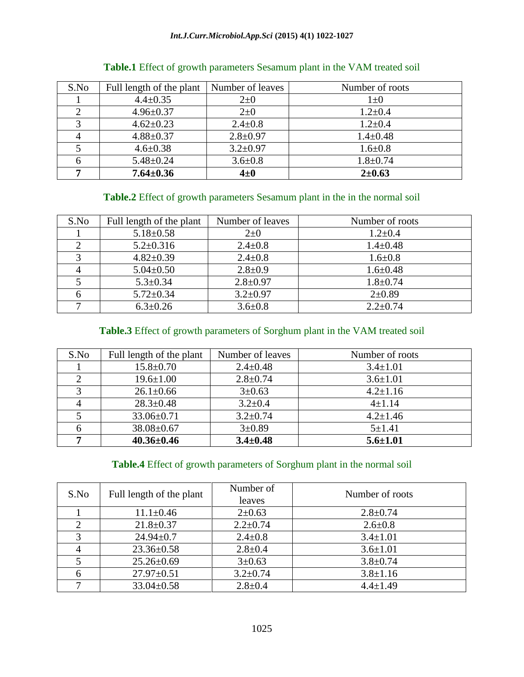#### *Int.J.Curr.Microbiol.App.Sci* **(2015) 4(1) 1022-1027**

| S.No | Full length of the plant | Number of leaves | Number of roots |
|------|--------------------------|------------------|-----------------|
|      | $4.4 \pm 0.35$           | $2\pm 0$         | $1\pm 0$        |
|      | $4.96 \pm 0.37$          | $2\pm 0$         | $1.2 \pm 0.4$   |
|      | $4.62 \pm 0.23$          | $2.4 \pm 0.8$    | $1.2 \pm 0.4$   |
|      | $4.88 \pm 0.37$          | $2.8 \pm 0.97$   | $1.4 \pm 0.48$  |
|      | $4.6 \pm 0.38$           | $3.2 \pm 0.97$   | $1.6 + 0.8$     |
|      | $5.48 \pm 0.24$          | $3.6 \pm 0.8$    | $1.8 \pm 0.74$  |
|      | $7.64 \pm 0.36$          | $4\pm 0$         | $2 + 0.63$      |

## **Table.1** Effect of growth parameters Sesamum plant in the VAM treated soil

## **Table.2** Effect of growth parameters Sesamum plant in the in the normal soil

| S.No | Full length of the plant | Number of leaves | Number of roots |
|------|--------------------------|------------------|-----------------|
|      | $5.18 \pm 0.58$          | $2\pm 0$         | $1.2 \pm 0.4$   |
|      | $5.2 \pm 0.316$          | $2.4 \pm 0.8$    | $1.4 \pm 0.48$  |
|      | $4.82 \pm 0.39$          | $2.4 \pm 0.8$    | $1.6 \pm 0.8$   |
|      | $5.04 \pm 0.50$          | $2.8 \pm 0.9$    | $1.6 \pm 0.48$  |
|      | $5.3 \pm 0.34$           | $2.8 \pm 0.97$   | $1.8 + 0.74$    |
|      | $5.72 \pm 0.34$          | $3.2 \pm 0.97$   | $2 \pm 0.89$    |
|      | $6.3 \pm 0.26$           | $3.6 \pm 0.8$    | $2.2 \pm 0.74$  |

# **Table.3** Effect of growth parameters of Sorghum plant in the VAM treated soil

| S.No | Full length of the plant | Number of leaves | Number of roots |
|------|--------------------------|------------------|-----------------|
|      | $15.8 \pm 0.70$          | $2.4 \pm 0.48$   | $3.4 \pm 1.01$  |
|      | $19.6 \pm 1.00$          | $2.8 \pm 0.74$   | $3.6 \pm 1.01$  |
|      | $26.1 \pm 0.66$          | $3 \pm 0.63$     | $4.2 \pm 1.16$  |
|      | $28.3 \pm 0.48$          | $3.2 \pm 0.4$    | $4 \pm 1.14$    |
|      | 33.06±0.71               | $3.2 \pm 0.74$   | $4.2 \pm 1.46$  |
|      | $38.08 \pm 0.67$         | $3 \pm 0.89$     | $5 + 1.41$      |
|      | $40.36 \pm 0.46$         | $3.4 \pm 0.48$   | $5.6 \pm 1.01$  |

## **Table.4** Effect of growth parameters of Sorghum plant in the normal soil

| S.No | Full length of the plant | Number of<br>leaves | Number of roots |
|------|--------------------------|---------------------|-----------------|
|      | $11.1 \pm 0.46$          | $2 \pm 0.63$        | $2.8 \pm 0.74$  |
|      | $21.8 \pm 0.37$          | $2.2 \pm 0.74$      | $2.6 \pm 0.8$   |
|      | $24.94 \pm 0.7$          | $2.4 \pm 0.8$       | $3.4 \pm 1.01$  |
|      | $23.36 \pm 0.58$         | $2.8 \pm 0.4$       | $3.6 \pm 1.01$  |
|      | $25.26 \pm 0.69$         | $3 \pm 0.63$        | $3.8 \pm 0.74$  |
|      | $27.97 \pm 0.51$         | $3.2 \pm 0.74$      | $3.8 \pm 1.16$  |
|      | $33.04 \pm 0.58$         | $2.8 \pm 0.4$       | $4.4 \pm 1.49$  |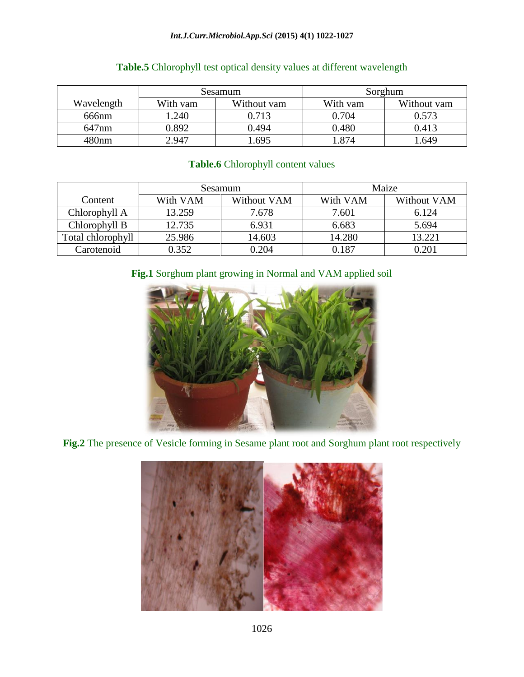#### *Int.J.Curr.Microbiol.App.Sci* **(2015) 4(1) 1022-1027**

|            | Sesamum  |             | Sorghum  |             |
|------------|----------|-------------|----------|-------------|
| Wavelength | With vam | Without vam | With vam | Without vam |
| 666nm      | .240     | 0.713       | 0.704    | 0.573       |
| 647nm      | 0.892    | 0.494       | 0.480    | 0.413       |
| 480nm      | 2.947    | 1.695       | .874     | .649        |

# **Table.5** Chlorophyll test optical density values at different wavelength

## **Table.6** Chlorophyll content values

|                   | Sesamum  |             | Maize    |             |
|-------------------|----------|-------------|----------|-------------|
| Content           | With VAM | Without VAM | With VAM | Without VAM |
| Chlorophyll A     | 13.259   | 7.678       | 7.601    | 6.124       |
| Chlorophyll B     | 12.735   | 6.931       | 6.683    | 5.694       |
| Total chlorophyll | 25.986   | 14.603      | 14.280   | 13.221      |
| Carotenoid        | 0.352    | 0.204       | 0.187    |             |

## **Fig.1** Sorghum plant growing in Normal and VAM applied soil



**Fig.2** The presence of Vesicle forming in Sesame plant root and Sorghum plant root respectively